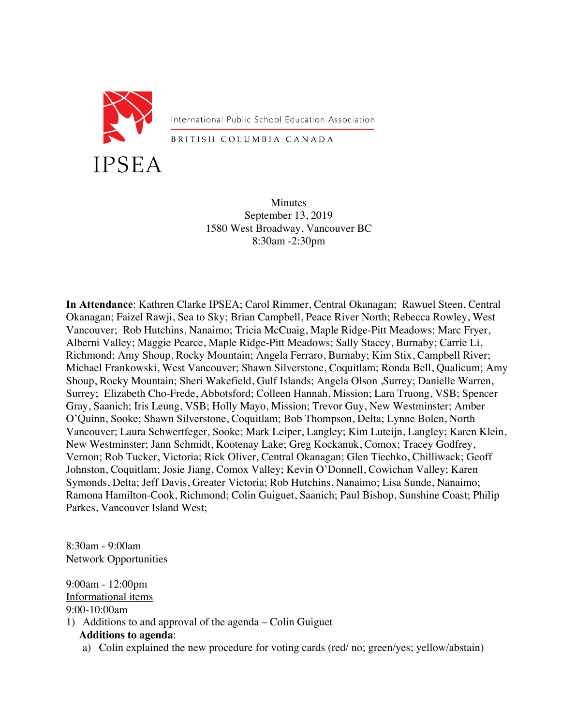

International Public School Education Association

BRITISH COLUMBIA CANADA

**Minutes** September 13, 2019 1580 West Broadway, Vancouver BC 8:30am -2:30pm

**In Attendance**: Kathren Clarke IPSEA; Carol Rimmer, Central Okanagan; Rawuel Steen, Central Okanagan; Faizel Rawji, Sea to Sky; Brian Campbell, Peace River North; Rebecca Rowley, West Vancouver; Rob Hutchins, Nanaimo; Tricia McCuaig, Maple Ridge-Pitt Meadows; Marc Fryer, Alberni Valley; Maggie Pearce, Maple Ridge-Pitt Meadows; Sally Stacey, Burnaby; Carrie Li, Richmond; Amy Shoup, Rocky Mountain; Angela Ferraro, Burnaby; Kim Stix, Campbell River; Michael Frankowski, West Vancouver; Shawn Silverstone, Coquitlam; Ronda Bell, Qualicum; Amy Shoup, Rocky Mountain; Sheri Wakefield, Gulf Islands; Angela Olson ,Surrey; Danielle Warren, Surrey; Elizabeth Cho-Frede, Abbotsford; Colleen Hannah, Mission; Lara Truong, VSB; Spencer Gray, Saanich; Iris Leung, VSB; Holly Mayo, Mission; Trevor Guy, New Westminster; Amber O'Quinn, Sooke; Shawn Silverstone, Coquitlam; Bob Thompson, Delta; Lynne Bolen, North Vancouver; Laura Schwertfeger, Sooke; Mark Leiper, Langley; Kim Luteijn, Langley; Karen Klein, New Westminster; Jann Schmidt, Kootenay Lake; Greg Kockanuk, Comox; Tracey Godfrey, Vernon; Rob Tucker, Victoria; Rick Oliver, Central Okanagan; Glen Tiechko, Chilliwack; Geoff Johnston, Coquitlam; Josie Jiang, Comox Valley; Kevin O'Donnell, Cowichan Valley; Karen Symonds, Delta; Jeff Davis, Greater Victoria; Rob Hutchins, Nanaimo; Lisa Sunde, Nanaimo; Ramona Hamilton-Cook, Richmond; Colin Guiguet, Saanich; Paul Bishop, Sunshine Coast; Philip Parkes, Vancouver Island West;

8:30am - 9:00am Network Opportunities

9:00am - 12:00pm Informational items 9:00-10:00am 1) Additions to and approval of the agenda – Colin Guiguet **Additions to agenda**:

a) Colin explained the new procedure for voting cards (red/ no; green/yes; yellow/abstain)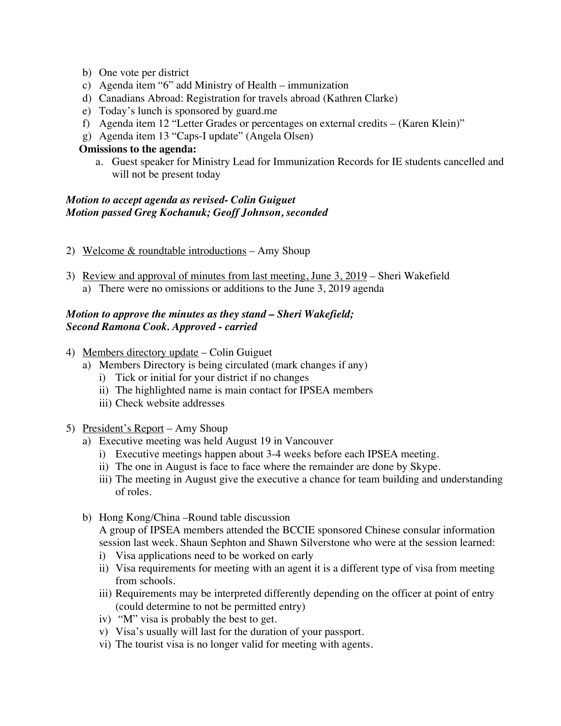- b) One vote per district
- c) Agenda item "6" add Ministry of Health immunization
- d) Canadians Abroad: Registration for travels abroad (Kathren Clarke)
- e) Today's lunch is sponsored by guard.me
- f) Agenda item 12 "Letter Grades or percentages on external credits (Karen Klein)"
- g) Agenda item 13 "Caps-I update" (Angela Olsen)

#### **Omissions to the agenda:**

a. Guest speaker for Ministry Lead for Immunization Records for IE students cancelled and will not be present today

#### *Motion to accept agenda as revised- Colin Guiguet Motion passed Greg Kochanuk; Geoff Johnson, seconded*

- 2) Welcome  $&$  roundtable introductions Amy Shoup
- 3) Review and approval of minutes from last meeting, June 3, 2019 Sheri Wakefield a) There were no omissions or additions to the June 3, 2019 agenda

## *Motion to approve the minutes as they stand – Sheri Wakefield; Second Ramona Cook. Approved - carried*

- 4) Members directory update Colin Guiguet
	- a) Members Directory is being circulated (mark changes if any)
		- i) Tick or initial for your district if no changes
		- ii) The highlighted name is main contact for IPSEA members
		- iii) Check website addresses
- 5) President's Report Amy Shoup
	- a) Executive meeting was held August 19 in Vancouver
		- i) Executive meetings happen about 3-4 weeks before each IPSEA meeting.
		- ii) The one in August is face to face where the remainder are done by Skype.
		- iii) The meeting in August give the executive a chance for team building and understanding of roles.
	- b) Hong Kong/China –Round table discussion A group of IPSEA members attended the BCCIE sponsored Chinese consular information session last week. Shaun Sephton and Shawn Silverstone who were at the session learned:
		- i) Visa applications need to be worked on early
		- ii) Visa requirements for meeting with an agent it is a different type of visa from meeting from schools.
		- iii) Requirements may be interpreted differently depending on the officer at point of entry (could determine to not be permitted entry)
		- iv) "M" visa is probably the best to get.
		- v) Visa's usually will last for the duration of your passport.
		- vi) The tourist visa is no longer valid for meeting with agents.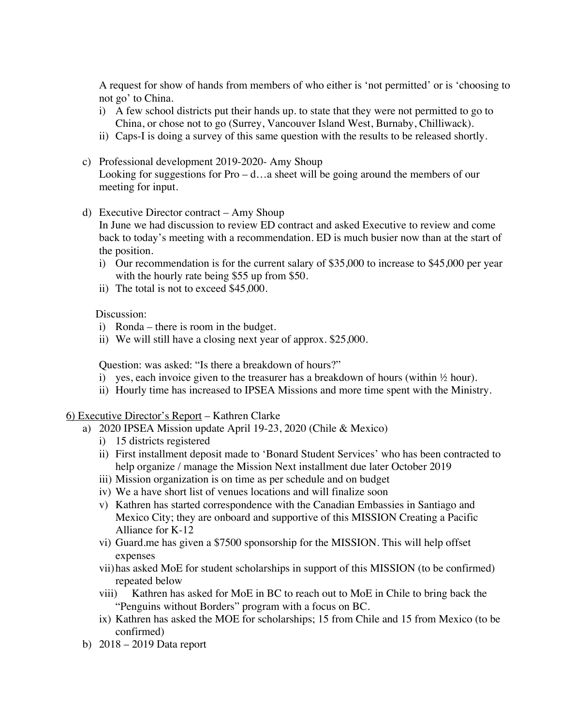A request for show of hands from members of who either is 'not permitted' or is 'choosing to not go' to China.

- i) A few school districts put their hands up. to state that they were not permitted to go to China, or chose not to go (Surrey, Vancouver Island West, Burnaby, Chilliwack).
- ii) Caps-I is doing a survey of this same question with the results to be released shortly.
- c) Professional development 2019-2020- Amy Shoup Looking for suggestions for  $Pro - d$ ... a sheet will be going around the members of our meeting for input.
- d) Executive Director contract Amy Shoup

In June we had discussion to review ED contract and asked Executive to review and come back to today's meeting with a recommendation. ED is much busier now than at the start of the position.

- i) Our recommendation is for the current salary of \$35,000 to increase to \$45,000 per year with the hourly rate being \$55 up from \$50.
- ii) The total is not to exceed \$45,000.

Discussion:

- i) Ronda there is room in the budget.
- ii) We will still have a closing next year of approx. \$25,000.

Question: was asked: "Is there a breakdown of hours?"

- i) yes, each invoice given to the treasurer has a breakdown of hours (within  $\frac{1}{2}$  hour).
- ii) Hourly time has increased to IPSEA Missions and more time spent with the Ministry.

#### 6) Executive Director's Report – Kathren Clarke

- a) 2020 IPSEA Mission update April 19-23, 2020 (Chile & Mexico)
	- i) 15 districts registered
	- ii) First installment deposit made to 'Bonard Student Services' who has been contracted to help organize / manage the Mission Next installment due later October 2019
	- iii) Mission organization is on time as per schedule and on budget
	- iv) We a have short list of venues locations and will finalize soon
	- v) Kathren has started correspondence with the Canadian Embassies in Santiago and Mexico City; they are onboard and supportive of this MISSION Creating a Pacific Alliance for K-12
	- vi) Guard.me has given a \$7500 sponsorship for the MISSION. This will help offset expenses
	- vii)has asked MoE for student scholarships in support of this MISSION (to be confirmed) repeated below
	- viii) Kathren has asked for MoE in BC to reach out to MoE in Chile to bring back the "Penguins without Borders" program with a focus on BC.
	- ix) Kathren has asked the MOE for scholarships; 15 from Chile and 15 from Mexico (to be confirmed)
- b) 2018 2019 Data report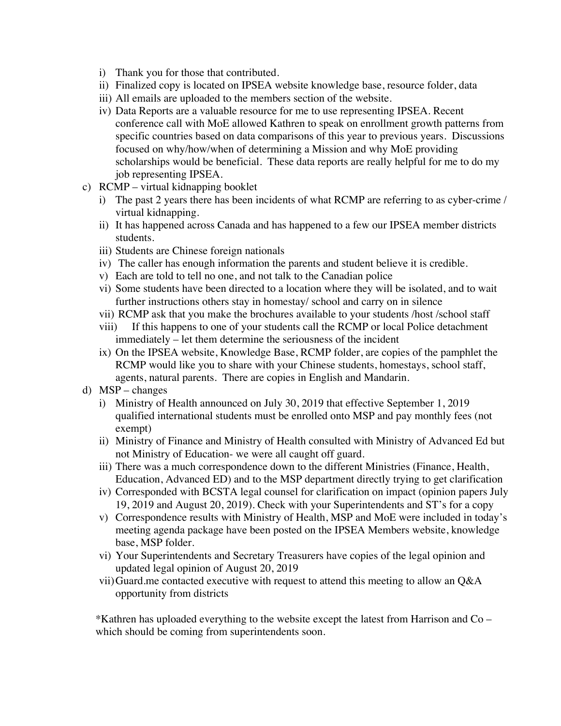- i) Thank you for those that contributed.
- ii) Finalized copy is located on IPSEA website knowledge base, resource folder, data
- iii) All emails are uploaded to the members section of the website.
- iv) Data Reports are a valuable resource for me to use representing IPSEA. Recent conference call with MoE allowed Kathren to speak on enrollment growth patterns from specific countries based on data comparisons of this year to previous years. Discussions focused on why/how/when of determining a Mission and why MoE providing scholarships would be beneficial. These data reports are really helpful for me to do my job representing IPSEA.
- c) RCMP virtual kidnapping booklet
	- i) The past 2 years there has been incidents of what RCMP are referring to as cyber-crime / virtual kidnapping.
	- ii) It has happened across Canada and has happened to a few our IPSEA member districts students.
	- iii) Students are Chinese foreign nationals
	- iv) The caller has enough information the parents and student believe it is credible.
	- v) Each are told to tell no one, and not talk to the Canadian police
	- vi) Some students have been directed to a location where they will be isolated, and to wait further instructions others stay in homestay/ school and carry on in silence
	- vii) RCMP ask that you make the brochures available to your students /host /school staff
	- viii) If this happens to one of your students call the RCMP or local Police detachment immediately – let them determine the seriousness of the incident
	- ix) On the IPSEA website, Knowledge Base, RCMP folder, are copies of the pamphlet the RCMP would like you to share with your Chinese students, homestays, school staff, agents, natural parents. There are copies in English and Mandarin.
- d) MSP changes
	- i) Ministry of Health announced on July 30, 2019 that effective September 1, 2019 qualified international students must be enrolled onto MSP and pay monthly fees (not exempt)
	- ii) Ministry of Finance and Ministry of Health consulted with Ministry of Advanced Ed but not Ministry of Education- we were all caught off guard.
	- iii) There was a much correspondence down to the different Ministries (Finance, Health, Education, Advanced ED) and to the MSP department directly trying to get clarification
	- iv) Corresponded with BCSTA legal counsel for clarification on impact (opinion papers July 19, 2019 and August 20, 2019). Check with your Superintendents and ST's for a copy
	- v) Correspondence results with Ministry of Health, MSP and MoE were included in today's meeting agenda package have been posted on the IPSEA Members website, knowledge base, MSP folder.
	- vi) Your Superintendents and Secretary Treasurers have copies of the legal opinion and updated legal opinion of August 20, 2019
	- vii)Guard.me contacted executive with request to attend this meeting to allow an Q&A opportunity from districts

\*Kathren has uploaded everything to the website except the latest from Harrison and Co – which should be coming from superintendents soon.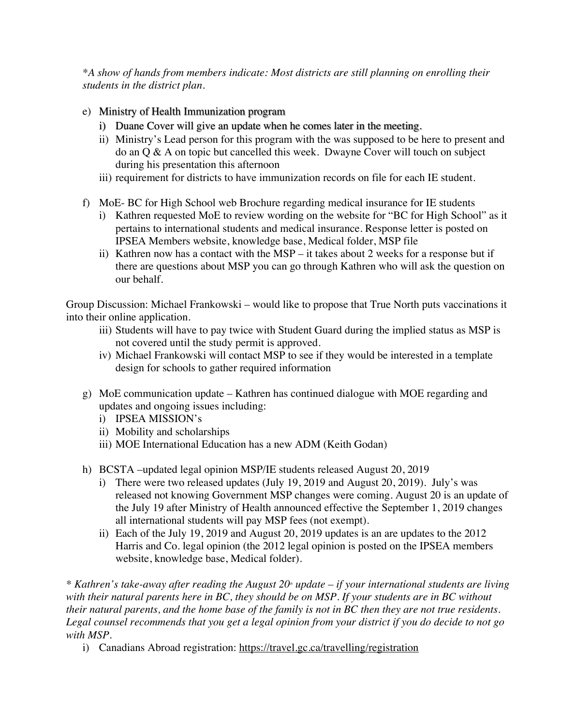*\*A show of hands from members indicate: Most districts are still planning on enrolling their students in the district plan.*

- e) Ministry of Health Immunization program
	- i) Duane Cover will give an update when he comes later in the meeting.
	- ii) Ministry's Lead person for this program with the was supposed to be here to present and do an Q & A on topic but cancelled this week. Dwayne Cover will touch on subject during his presentation this afternoon
	- iii) requirement for districts to have immunization records on file for each IE student.
- f) MoE- BC for High School web Brochure regarding medical insurance for IE students
	- i) Kathren requested MoE to review wording on the website for "BC for High School" as it pertains to international students and medical insurance. Response letter is posted on IPSEA Members website, knowledge base, Medical folder, MSP file
	- ii) Kathren now has a contact with the MSP it takes about 2 weeks for a response but if there are questions about MSP you can go through Kathren who will ask the question on our behalf.

Group Discussion: Michael Frankowski – would like to propose that True North puts vaccinations it into their online application.

- iii) Students will have to pay twice with Student Guard during the implied status as MSP is not covered until the study permit is approved.
- iv) Michael Frankowski will contact MSP to see if they would be interested in a template design for schools to gather required information
- g) MoE communication update Kathren has continued dialogue with MOE regarding and updates and ongoing issues including:
	- i) IPSEA MISSION's
	- ii) Mobility and scholarships
	- iii) MOE International Education has a new ADM (Keith Godan)
- h) BCSTA –updated legal opinion MSP/IE students released August 20, 2019
	- i) There were two released updates (July 19, 2019 and August 20, 2019). July's was released not knowing Government MSP changes were coming. August 20 is an update of the July 19 after Ministry of Health announced effective the September 1, 2019 changes all international students will pay MSP fees (not exempt).
	- ii) Each of the July 19, 2019 and August 20, 2019 updates is an are updates to the 2012 Harris and Co. legal opinion (the 2012 legal opinion is posted on the IPSEA members website, knowledge base, Medical folder).

<sup>\*</sup> Kathren's take-away after reading the August 20<sup>\*</sup> update – *if your international students are living with their natural parents here in BC, they should be on MSP. If your students are in BC without their natural parents, and the home base of the family is not in BC then they are not true residents. Legal counsel recommends that you get a legal opinion from your district if you do decide to not go with MSP.*

i) Canadians Abroad registration: https://travel.gc.ca/travelling/registration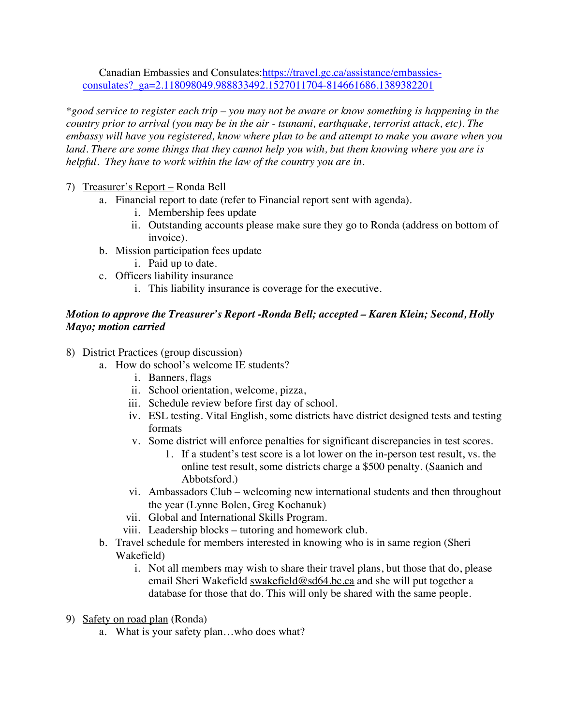Canadian Embassies and Consulates:https://travel.gc.ca/assistance/embassiesconsulates?\_ga=2.118098049.988833492.1527011704-814661686.1389382201

*\*good service to register each trip – you may not be aware or know something is happening in the country prior to arrival (you may be in the air - tsunami, earthquake, terrorist attack, etc). The embassy will have you registered, know where plan to be and attempt to make you aware when you land. There are some things that they cannot help you with, but them knowing where you are is helpful. They have to work within the law of the country you are in.* 

- 7) Treasurer's Report Ronda Bell
	- a. Financial report to date (refer to Financial report sent with agenda).
		- i. Membership fees update
		- ii. Outstanding accounts please make sure they go to Ronda (address on bottom of invoice).
	- b. Mission participation fees update
		- i. Paid up to date.
	- c. Officers liability insurance
		- i. This liability insurance is coverage for the executive.

## *Motion to approve the Treasurer's Report -Ronda Bell; accepted – Karen Klein; Second, Holly Mayo; motion carried*

- 8) District Practices (group discussion)
	- a. How do school's welcome IE students?
		- i. Banners, flags
		- ii. School orientation, welcome, pizza,
		- iii. Schedule review before first day of school.
		- iv. ESL testing. Vital English, some districts have district designed tests and testing formats
		- v. Some district will enforce penalties for significant discrepancies in test scores.
			- 1. If a student's test score is a lot lower on the in-person test result, vs. the online test result, some districts charge a \$500 penalty. (Saanich and Abbotsford.)
		- vi. Ambassadors Club welcoming new international students and then throughout the year (Lynne Bolen, Greg Kochanuk)
		- vii. Global and International Skills Program.
		- viii. Leadership blocks tutoring and homework club.
	- b. Travel schedule for members interested in knowing who is in same region (Sheri Wakefield)
		- i. Not all members may wish to share their travel plans, but those that do, please email Sheri Wakefield swakefield@sd64.bc.ca and she will put together a database for those that do. This will only be shared with the same people.
- 9) Safety on road plan (Ronda)
	- a. What is your safety plan…who does what?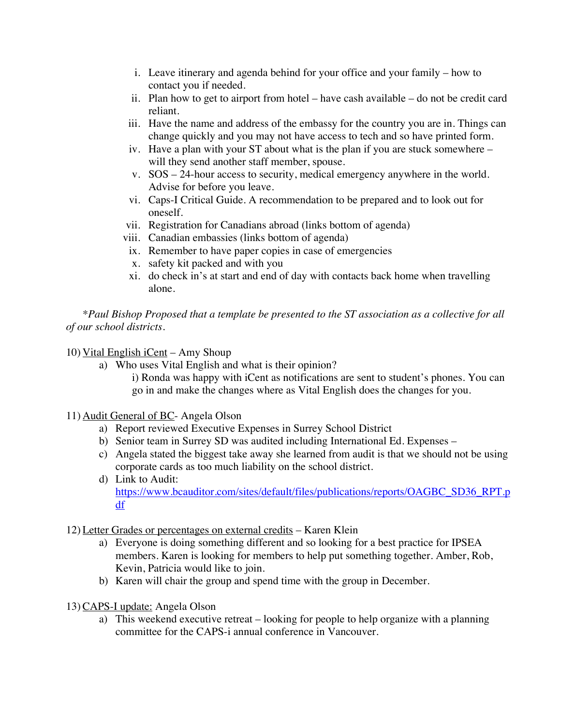- i. Leave itinerary and agenda behind for your office and your family how to contact you if needed.
- ii. Plan how to get to airport from hotel have cash available do not be credit card reliant.
- iii. Have the name and address of the embassy for the country you are in. Things can change quickly and you may not have access to tech and so have printed form.
- iv. Have a plan with your ST about what is the plan if you are stuck somewhere will they send another staff member, spouse.
- v. SOS 24-hour access to security, medical emergency anywhere in the world. Advise for before you leave.
- vi. Caps-I Critical Guide. A recommendation to be prepared and to look out for oneself.
- vii. Registration for Canadians abroad (links bottom of agenda)
- viii. Canadian embassies (links bottom of agenda)
	- ix. Remember to have paper copies in case of emergencies
	- x. safety kit packed and with you
- xi. do check in's at start and end of day with contacts back home when travelling alone.

*\*Paul Bishop Proposed that a template be presented to the ST association as a collective for all of our school districts.* 

#### 10) Vital English iCent – Amy Shoup

- a) Who uses Vital English and what is their opinion?
	- i) Ronda was happy with iCent as notifications are sent to student's phones. You can go in and make the changes where as Vital English does the changes for you.

#### 11) Audit General of BC- Angela Olson

- a) Report reviewed Executive Expenses in Surrey School District
- b) Senior team in Surrey SD was audited including International Ed. Expenses –
- c) Angela stated the biggest take away she learned from audit is that we should not be using corporate cards as too much liability on the school district.
- d) Link to Audit: https://www.bcauditor.com/sites/default/files/publications/reports/OAGBC\_SD36\_RPT.p df
- 12) Letter Grades or percentages on external credits Karen Klein
	- a) Everyone is doing something different and so looking for a best practice for IPSEA members. Karen is looking for members to help put something together. Amber, Rob, Kevin, Patricia would like to join.
	- b) Karen will chair the group and spend time with the group in December.
- 13) CAPS-I update: Angela Olson
	- a) This weekend executive retreat looking for people to help organize with a planning committee for the CAPS-i annual conference in Vancouver.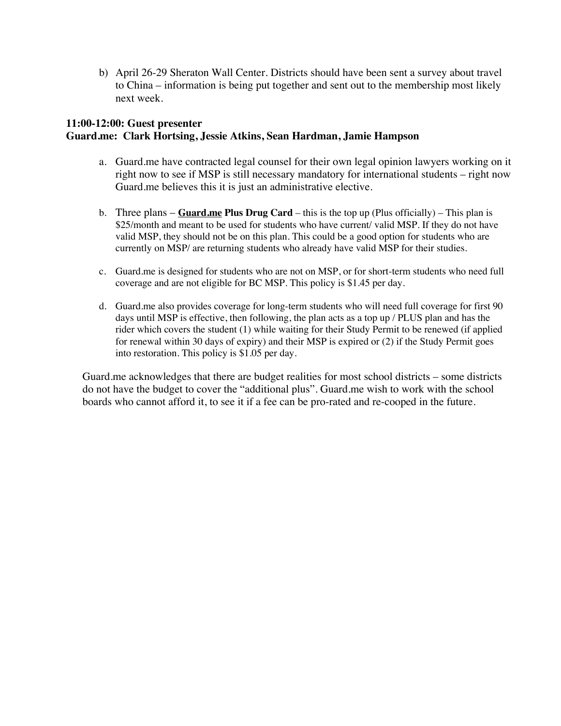b) April 26-29 Sheraton Wall Center. Districts should have been sent a survey about travel to China – information is being put together and sent out to the membership most likely next week.

## **11:00-12:00: Guest presenter Guard.me: Clark Hortsing, Jessie Atkins, Sean Hardman, Jamie Hampson**

- a. Guard.me have contracted legal counsel for their own legal opinion lawyers working on it right now to see if MSP is still necessary mandatory for international students – right now Guard.me believes this it is just an administrative elective.
- b. Three plans **Guard.me Plus Drug Card** this is the top up (Plus officially) This plan is \$25/month and meant to be used for students who have current/ valid MSP. If they do not have valid MSP, they should not be on this plan. This could be a good option for students who are currently on MSP/ are returning students who already have valid MSP for their studies.
- c. Guard.me is designed for students who are not on MSP, or for short-term students who need full coverage and are not eligible for BC MSP. This policy is \$1.45 per day.
- d. Guard.me also provides coverage for long-term students who will need full coverage for first 90 days until MSP is effective, then following, the plan acts as a top up / PLUS plan and has the rider which covers the student (1) while waiting for their Study Permit to be renewed (if applied for renewal within 30 days of expiry) and their MSP is expired or (2) if the Study Permit goes into restoration. This policy is \$1.05 per day.

Guard.me acknowledges that there are budget realities for most school districts – some districts do not have the budget to cover the "additional plus". Guard.me wish to work with the school boards who cannot afford it, to see it if a fee can be pro-rated and re-cooped in the future.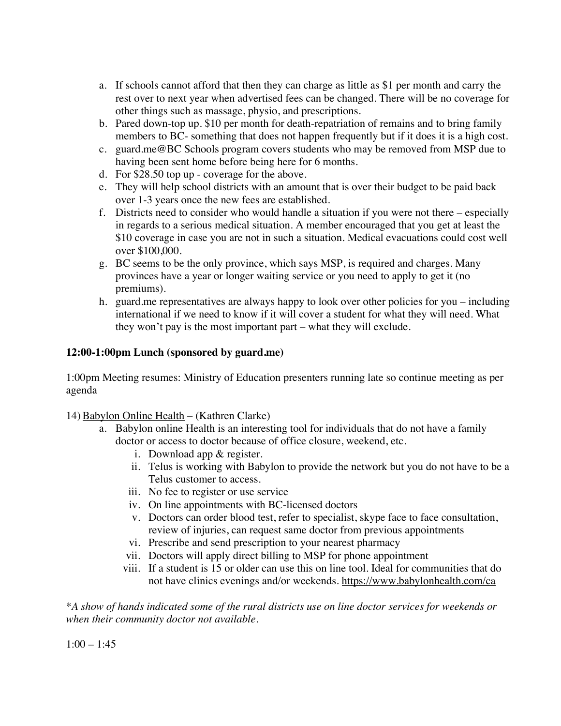- a. If schools cannot afford that then they can charge as little as \$1 per month and carry the rest over to next year when advertised fees can be changed. There will be no coverage for other things such as massage, physio, and prescriptions.
- b. Pared down-top up. \$10 per month for death-repatriation of remains and to bring family members to BC- something that does not happen frequently but if it does it is a high cost.
- c. guard.me@BC Schools program covers students who may be removed from MSP due to having been sent home before being here for 6 months.
- d. For \$28.50 top up coverage for the above.
- e. They will help school districts with an amount that is over their budget to be paid back over 1-3 years once the new fees are established.
- f. Districts need to consider who would handle a situation if you were not there especially in regards to a serious medical situation. A member encouraged that you get at least the \$10 coverage in case you are not in such a situation. Medical evacuations could cost well over \$100,000.
- g. BC seems to be the only province, which says MSP, is required and charges. Many provinces have a year or longer waiting service or you need to apply to get it (no premiums).
- h. guard.me representatives are always happy to look over other policies for you including international if we need to know if it will cover a student for what they will need. What they won't pay is the most important part – what they will exclude.

#### **12:00-1:00pm Lunch (sponsored by guard.me)**

1:00pm Meeting resumes: Ministry of Education presenters running late so continue meeting as per agenda

14) Babylon Online Health – (Kathren Clarke)

- a. Babylon online Health is an interesting tool for individuals that do not have a family doctor or access to doctor because of office closure, weekend, etc.
	- i. Download app & register.
	- ii. Telus is working with Babylon to provide the network but you do not have to be a Telus customer to access.
	- iii. No fee to register or use service
	- iv. On line appointments with BC-licensed doctors
	- v. Doctors can order blood test, refer to specialist, skype face to face consultation, review of injuries, can request same doctor from previous appointments
	- vi. Prescribe and send prescription to your nearest pharmacy
	- vii. Doctors will apply direct billing to MSP for phone appointment
	- viii. If a student is 15 or older can use this on line tool. Ideal for communities that do not have clinics evenings and/or weekends. https://www.babylonhealth.com/ca

\**A show of hands indicated some of the rural districts use on line doctor services for weekends or when their community doctor not available.* 

 $1:00 - 1:45$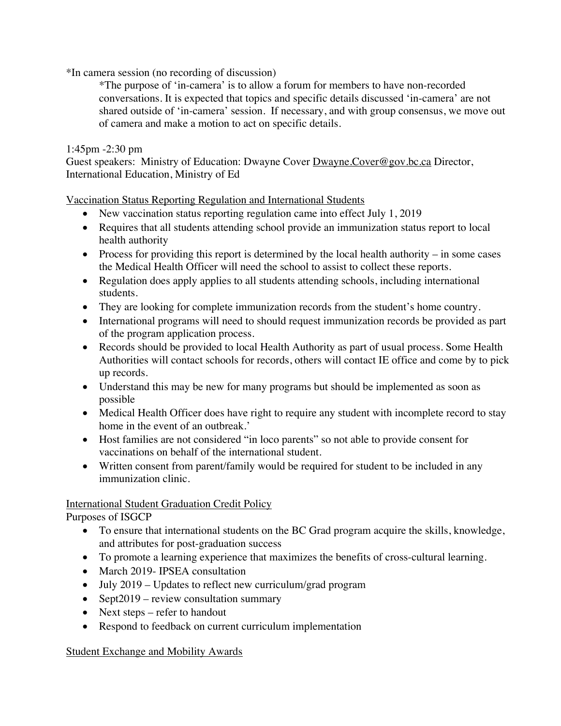\*In camera session (no recording of discussion)

\*The purpose of 'in-camera' is to allow a forum for members to have non-recorded conversations. It is expected that topics and specific details discussed 'in-camera' are not shared outside of 'in-camera' session. If necessary, and with group consensus, we move out of camera and make a motion to act on specific details.

# 1:45pm -2:30 pm

Guest speakers: Ministry of Education: Dwayne Cover Dwayne.Cover@gov.bc.ca Director, International Education, Ministry of Ed

Vaccination Status Reporting Regulation and International Students

- New vaccination status reporting regulation came into effect July 1, 2019
- Requires that all students attending school provide an immunization status report to local health authority
- Process for providing this report is determined by the local health authority in some cases the Medical Health Officer will need the school to assist to collect these reports.
- Regulation does apply applies to all students attending schools, including international students.
- They are looking for complete immunization records from the student's home country.
- International programs will need to should request immunization records be provided as part of the program application process.
- Records should be provided to local Health Authority as part of usual process. Some Health Authorities will contact schools for records, others will contact IE office and come by to pick up records.
- Understand this may be new for many programs but should be implemented as soon as possible
- Medical Health Officer does have right to require any student with incomplete record to stay home in the event of an outbreak.'
- Host families are not considered "in loco parents" so not able to provide consent for vaccinations on behalf of the international student.
- Written consent from parent/family would be required for student to be included in any immunization clinic.

#### International Student Graduation Credit Policy

Purposes of ISGCP

- To ensure that international students on the BC Grad program acquire the skills, knowledge, and attributes for post-graduation success
- To promote a learning experience that maximizes the benefits of cross-cultural learning.
- March 2019- IPSEA consultation
- July 2019 Updates to reflect new curriculum/grad program
- Sept2019 review consultation summary
- Next steps refer to handout
- Respond to feedback on current curriculum implementation

#### Student Exchange and Mobility Awards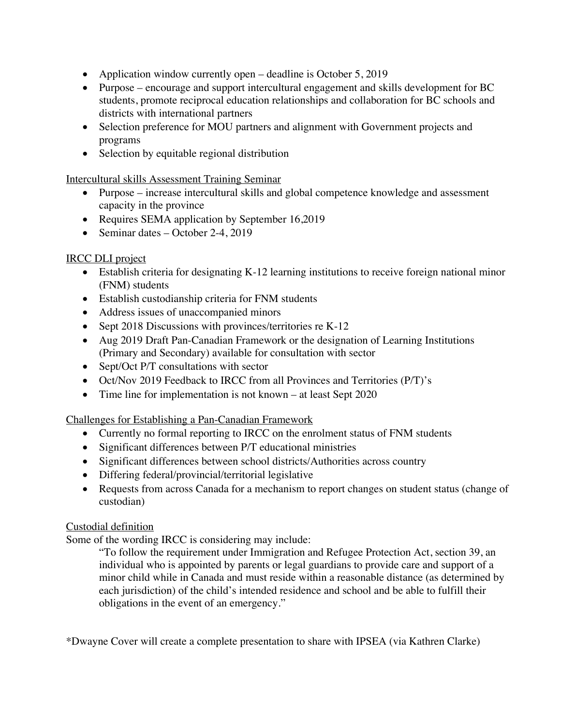- Application window currently open deadline is October 5, 2019
- Purpose encourage and support intercultural engagement and skills development for BC students, promote reciprocal education relationships and collaboration for BC schools and districts with international partners
- Selection preference for MOU partners and alignment with Government projects and programs
- Selection by equitable regional distribution

Intercultural skills Assessment Training Seminar

- Purpose increase intercultural skills and global competence knowledge and assessment capacity in the province
- Requires SEMA application by September 16,2019
- Seminar dates October 2-4, 2019

#### IRCC DLI project

- Establish criteria for designating K-12 learning institutions to receive foreign national minor (FNM) students
- Establish custodianship criteria for FNM students
- Address issues of unaccompanied minors
- Sept 2018 Discussions with provinces/territories re K-12
- Aug 2019 Draft Pan-Canadian Framework or the designation of Learning Institutions (Primary and Secondary) available for consultation with sector
- Sept/Oct P/T consultations with sector
- Oct/Nov 2019 Feedback to IRCC from all Provinces and Territories (P/T)'s
- Time line for implementation is not known at least Sept 2020

#### Challenges for Establishing a Pan-Canadian Framework

- Currently no formal reporting to IRCC on the enrolment status of FNM students
- Significant differences between P/T educational ministries
- Significant differences between school districts/Authorities across country
- Differing federal/provincial/territorial legislative
- Requests from across Canada for a mechanism to report changes on student status (change of custodian)

#### Custodial definition

Some of the wording IRCC is considering may include:

"To follow the requirement under Immigration and Refugee Protection Act, section 39, an individual who is appointed by parents or legal guardians to provide care and support of a minor child while in Canada and must reside within a reasonable distance (as determined by each jurisdiction) of the child's intended residence and school and be able to fulfill their obligations in the event of an emergency."

\*Dwayne Cover will create a complete presentation to share with IPSEA (via Kathren Clarke)